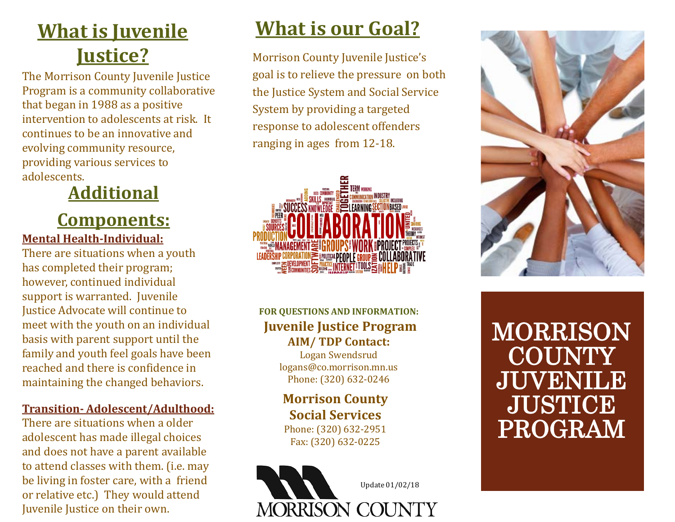# **What is Juvenile Justice?**

The Morrison County Juvenile Justice Program is a community collaborative that began in 1988 as a positive intervention to adolescents at risk. It continues to be an innovative and evolving community resource, providing various services to adolescents.

# **Additional**

### **Components: Mental Health-Individual:**

There are situations when a youth has completed their program; however, continued individual support is warranted. Juvenile Justice Advocate will continue to meet with the youth on an individual basis with parent support until the family and youth feel goals have been reached and there is confidence in maintaining the changed behaviors.

#### **Transition- Adolescent/Adulthood:**

There are situations when a older adolescent has made illegal choices and does not have a parent available to attend classes with them. (i.e. may be living in foster care, with a friend or relative etc.) They would attend Juvenile Justice on their own.

# **What is our Goal?**

Morrison County Juvenile Justice's goal is to relieve the pressure on both the Justice System and Social Service System by providing a targeted response to adolescent offenders ranging in ages from 12-18.



### **FOR QUESTIONS AND INFORMATION: Juvenile Justice Program AIM/ TDP Contact:**

Logan Swendsrud logans@co.morrison.mn.us Phone: (320) 632-0246

#### **Morrison County Social Services**

Phone: (320) 632-2951 Fax: (320) 632-0225





MORRISON **COUNTY** JUVENILE **JUSTICE** PROGRAM